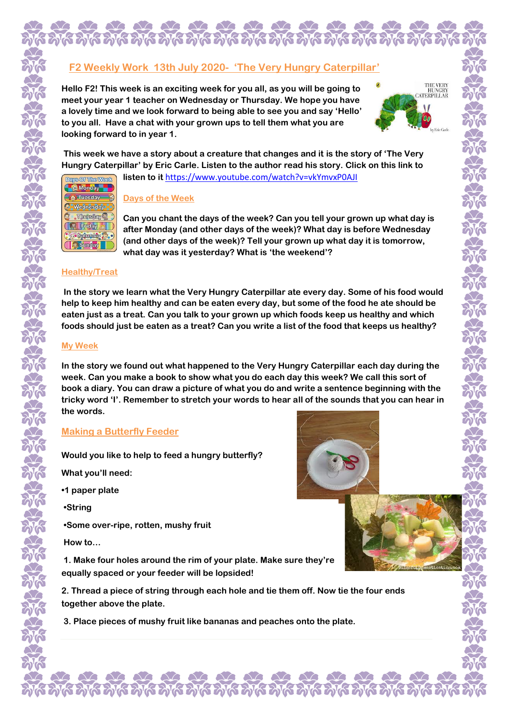# **F2 Weekly Work 13th July 2020- 'The Very Hungry Caterpillar'**

**Hello F2! This week is an exciting week for you all, as you will be going to meet your year 1 teacher on Wednesday or Thursday. We hope you have a lovely time and we look forward to being able to see you and say 'Hello' to you all. Have a chat with your grown ups to tell them what you are looking forward to in year 1.**



**This week we have a story about a creature that changes and it is the story of 'The Very Hungry Caterpillar' by Eric Carle. Listen to the author read his story. Click on this link to listen to it** <https://www.youtube.com/watch?v=vkYmvxP0AJI>



## **Days of the Week**

**Can you chant the days of the week? Can you tell your grown up what day is after Monday (and other days of the week)? What day is before Wednesday (and other days of the week)? Tell your grown up what day it is tomorrow, what day was it yesterday? What is 'the weekend'?**

## **Healthy/Treat**

**In the story we learn what the Very Hungry Caterpillar ate every day. Some of his food would help to keep him healthy and can be eaten every day, but some of the food he ate should be eaten just as a treat. Can you talk to your grown up which foods keep us healthy and which foods should just be eaten as a treat? Can you write a list of the food that keeps us healthy?**

## **My Week**

**In the story we found out what happened to the Very Hungry Caterpillar each day during the week. Can you make a book to show what you do each day this week? We call this sort of book a diary. You can draw a picture of what you do and write a sentence beginning with the tricky word 'I'. Remember to stretch your words to hear all of the sounds that you can hear in the words.**

# **Making a Butterfly Feeder**

**Would you like to help to feed a hungry butterfly?**

**What you'll need:** 

**•1 paper plate**

**•String**

**•Some over-ripe, rotten, mushy fruit**

**How to…**

**1. Make four holes around the rim of your plate. Make sure they're equally spaced or your feeder will be lopsided!** 

**2. Thread a piece of string through each hole and tie them off. Now tie the four ends together above the plate.**

k dik dik dik dik dik dik d

**3. Place pieces of mushy fruit like bananas and peaches onto the plate.**